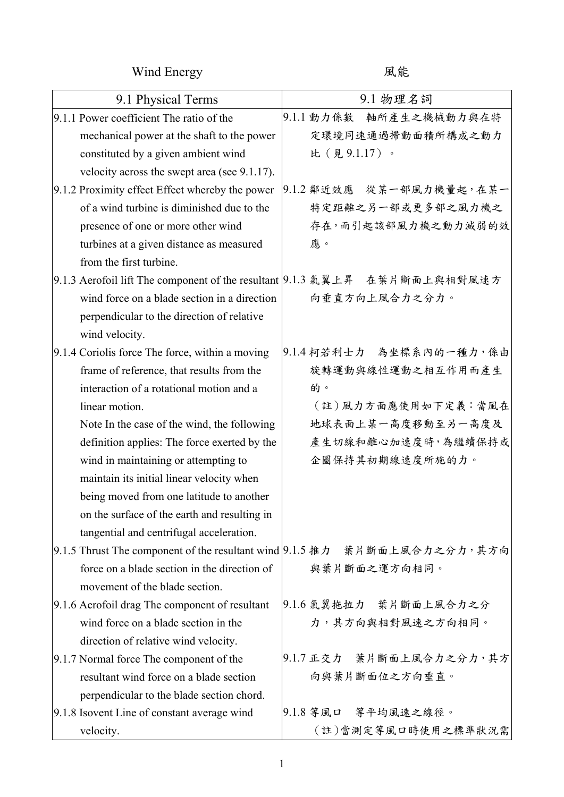Wind Energy **Manufacturer** 風能

| 9.1 Physical Terms                                                          | 9.1 物理名詞                                                                   |
|-----------------------------------------------------------------------------|----------------------------------------------------------------------------|
| 9.1.1 Power coefficient The ratio of the                                    | 9.1.1 動力係數<br>軸所產生之機械動力與在特                                                 |
| mechanical power at the shaft to the power                                  | 定環境同速通過掃動面積所構成之動力                                                          |
| constituted by a given ambient wind                                         | 比(見9.1.17)。                                                                |
| velocity across the swept area (see 9.1.17).                                |                                                                            |
| 9.1.2 Proximity effect Effect whereby the power                             | 9.1.2 鄰近效應 從某一部風力機量起,在某一                                                   |
| of a wind turbine is diminished due to the                                  | 特定距離之另一部或更多部之風力機之                                                          |
| presence of one or more other wind                                          | 存在,而引起該部風力機之動力減弱的效                                                         |
| turbines at a given distance as measured                                    | 應。                                                                         |
| from the first turbine.                                                     |                                                                            |
| 9.1.3 Aerofoil lift The component of the resultant  9.1.3 氣翼上昇 在葉片斷面上與相對風速方 |                                                                            |
| wind force on a blade section in a direction                                | 向垂直方向上風合力之分力。                                                              |
| perpendicular to the direction of relative                                  |                                                                            |
| wind velocity.                                                              |                                                                            |
| 9.1.4 Coriolis force The force, within a moving                             | 9.1.4 柯若利士力 為坐標系內的一種力, 係由                                                  |
| frame of reference, that results from the                                   | 旋轉運動與線性運動之相互作用而產生                                                          |
| interaction of a rotational motion and a                                    | 的。                                                                         |
| linear motion.                                                              | (註)風力方面應使用如下定義:當風在                                                         |
| Note In the case of the wind, the following                                 | 地球表面上某一高度移動至另一高度及                                                          |
| definition applies: The force exerted by the                                | 產生切線和離心加速度時,為繼續保持或                                                         |
| wind in maintaining or attempting to                                        | 企圖保持其初期線速度所施的力。                                                            |
| maintain its initial linear velocity when                                   |                                                                            |
| being moved from one latitude to another                                    |                                                                            |
| on the surface of the earth and resulting in                                |                                                                            |
| tangential and centrifugal acceleration.                                    |                                                                            |
|                                                                             | 9.1.5 Thrust The component of the resultant wind 9.1.5 推力 葉片斷面上風合力之分力, 其方向 |
| force on a blade section in the direction of                                | 與葉片斷面之運方向相同。                                                               |
| movement of the blade section.                                              |                                                                            |
| 9.1.6 Aerofoil drag The component of resultant                              | 9.1.6 氣翼拖拉力 葉片斷面上風合力之分                                                     |
| wind force on a blade section in the                                        | 力,其方向與相對風速之方向相同。                                                           |
| direction of relative wind velocity.                                        |                                                                            |
| 9.1.7 Normal force The component of the                                     | 9.1.7 正交力 葉片斷面上風合力之分力,其方                                                   |
| resultant wind force on a blade section                                     | 向與葉片斷面位之方向垂直。                                                              |
| perpendicular to the blade section chord.                                   |                                                                            |
| 9.1.8 Isovent Line of constant average wind                                 | 9.1.8 等風口 等平均風速之線徑。                                                        |
| velocity.                                                                   | (註)當測定等風口時使用之標準狀況需                                                         |

1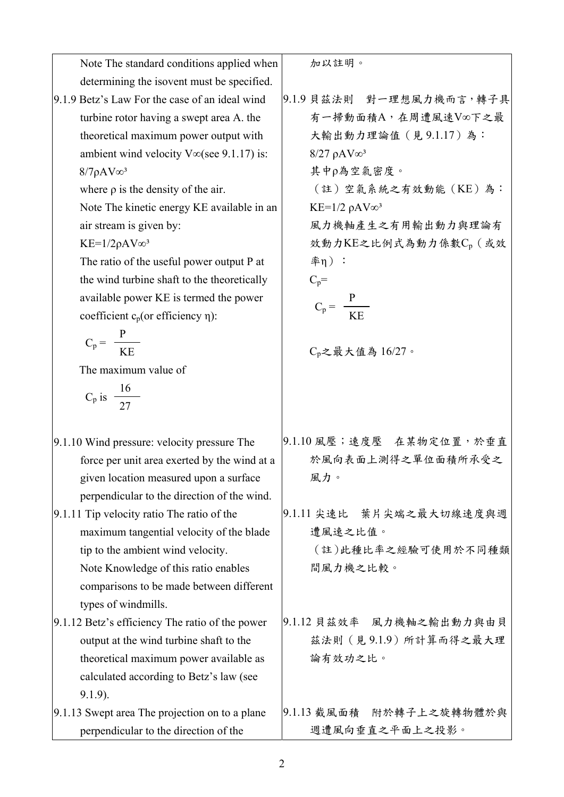| Note The standard conditions applied when        | 加以註明。                                     |
|--------------------------------------------------|-------------------------------------------|
| determining the isovent must be specified.       |                                           |
| 9.1.9 Betz's Law For the case of an ideal wind   | 9.1.9 貝茲法則 對一理想風力機而言,轉子具                  |
| turbine rotor having a swept area A. the         | 有一掃動面積A,在周遭風速V∞下之最                        |
| theoretical maximum power output with            | 大輸出動力理論值 (見9.1.17)為:                      |
| ambient wind velocity $V\infty$ (see 9.1.17) is: | $8/27 \rho AV^3$                          |
| $8/7\rho AV$ <sub>∞</sub> 3                      | 其中ρ為空氣密度。                                 |
| where $\rho$ is the density of the air.          | (註)空氣系統之有效動能(KE)為:                        |
| Note The kinetic energy KE available in an       | KE= $1/2$ $\rho$ AV $\infty$ <sup>3</sup> |
| air stream is given by:                          | 風力機軸產生之有用輸出動力與理論有                         |
| $KE=1/2\rho AV\omega^3$                          | 效動力KE之比例式為動力係數Cp (或效                      |
| The ratio of the useful power output P at        | 率η) :                                     |
| the wind turbine shaft to the theoretically      | $C_p =$                                   |
| available power KE is termed the power           | $C_p = \frac{P}{KE}$                      |
| coefficient $c_p$ (or efficiency $\eta$ ):       |                                           |
|                                                  |                                           |
| $C_p = \frac{P}{KE}$                             | $C_p$ 之最大值為 16/27。                        |
| The maximum value of                             |                                           |
| $C_p$ is $\frac{16}{27}$                         |                                           |
|                                                  |                                           |
|                                                  |                                           |
| 9.1.10 Wind pressure: velocity pressure The      | 9.1.10 風壓;速度壓 在某物定位置,於垂直                  |
| force per unit area exerted by the wind at a     | 於風向表面上測得之單位面積所承受之                         |
| given location measured upon a surface           | 風力。                                       |
| perpendicular to the direction of the wind.      |                                           |
| 9.1.11 Tip velocity ratio The ratio of the       | 葉片尖端之最大切線速度與週<br>9.1.11 尖速比               |
| maximum tangential velocity of the blade         | 遭風速之比值。                                   |
| tip to the ambient wind velocity.                | (註)此種比率之經驗可使用於不同種類                        |
| Note Knowledge of this ratio enables             | 間風力機之比較。                                  |
| comparisons to be made between different         |                                           |
| types of windmills.                              |                                           |
| 9.1.12 Betz's efficiency The ratio of the power  | 9.1.12 貝茲效率 風力機軸之輸出動力與由貝                  |
| output at the wind turbine shaft to the          | 茲法則 (見9.1.9) 所計算而得之最大理                    |
| theoretical maximum power available as           | 論有效功之比。                                   |
| calculated according to Betz's law (see          |                                           |
| $9.1.9$ ).                                       |                                           |
| 9.1.13 Swept area The projection on to a plane   | 9.1.13 截風面積 附於轉子上之旋轉物體於與                  |
| perpendicular to the direction of the            | 週遭風向垂直之平面上之投影。                            |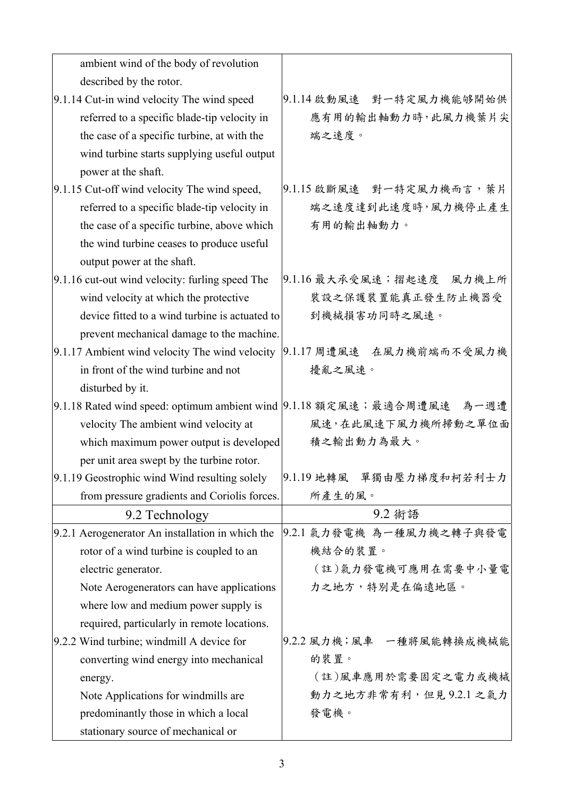| ambient wind of the body of revolution           |                                                                         |
|--------------------------------------------------|-------------------------------------------------------------------------|
| described by the rotor.                          |                                                                         |
| 9.1.14 Cut-in wind velocity The wind speed       | 9.1.14 啟動風速 對一特定風力機能够開始供                                                |
| referred to a specific blade-tip velocity in     | 應有用的輸出軸動力時,此風力機葉片尖                                                      |
| the case of a specific turbine, at with the      | 端之速度。                                                                   |
| wind turbine starts supplying useful output      |                                                                         |
| power at the shaft.                              |                                                                         |
| 9.1.15 Cut-off wind velocity The wind speed,     | 9.1.15 啟斷風速 對一特定風力機而言,葉片                                                |
| referred to a specific blade-tip velocity in     | 端之速度達到此速度時,風力機停止產生                                                      |
| the case of a specific turbine, above which      | 有用的輸出軸動力。                                                               |
| the wind turbine ceases to produce useful        |                                                                         |
| output power at the shaft.                       |                                                                         |
| 9.1.16 cut-out wind velocity: furling speed The  | 9.1.16 最大承受風速;摺起速度 風力機上所                                                |
| wind velocity at which the protective            | 裝設之保護裝置能真正發生防止機器受                                                       |
| device fitted to a wind turbine is actuated to   | 到機械損害功同時之風速。                                                            |
| prevent mechanical damage to the machine.        |                                                                         |
| 9.1.17 Ambient wind velocity The wind velocity   | 9.1.17 周遭風速 在風力機前端而不受風力機                                                |
| in front of the wind turbine and not             | 擾亂之風速。                                                                  |
| disturbed by it.                                 |                                                                         |
|                                                  | 9.1.18 Rated wind speed: optimum ambient wind 9.1.18 額定風速;最適合周遭風速 為一週遭  |
| velocity The ambient wind velocity at            | 風速,在此風速下風力機所掃動之單位面                                                      |
| which maximum power output is developed          | 積之輸出動力為最大。                                                              |
| per unit area swept by the turbine rotor.        |                                                                         |
|                                                  | 9.1.19 Geostrophic wind Wind resulting solely  9.1.19 地轉風 单獨由壓力梯度和柯若利士力 |
| from pressure gradients and Coriolis forces.     | 所產生的風。                                                                  |
| 9.2 Technology                                   | 9.2 術語                                                                  |
| 9.2.1 Aerogenerator An installation in which the | 9.2.1 氣力發電機 為一種風力機之轉子與發電                                                |
| rotor of a wind turbine is coupled to an         | 機結合的裝置。                                                                 |
| electric generator.                              | (註)氣力發電機可應用在需要中小量電                                                      |
| Note Aerogenerators can have applications        | 力之地方,特別是在偏遠地區。                                                          |
| where low and medium power supply is             |                                                                         |
| required, particularly in remote locations.      |                                                                         |
| 9.2.2 Wind turbine; windmill A device for        | 9.2.2 風力機;風車 一種將風能轉換成機械能                                                |
| converting wind energy into mechanical           | 的裝置。                                                                    |
| energy.                                          | (註)風車應用於需要固定之電力或機械                                                      |
| Note Applications for windmills are              | 動力之地方非常有利,但見9.2.1之氣力                                                    |
| predominantly those in which a local             | 發電機。                                                                    |
| stationary source of mechanical or               |                                                                         |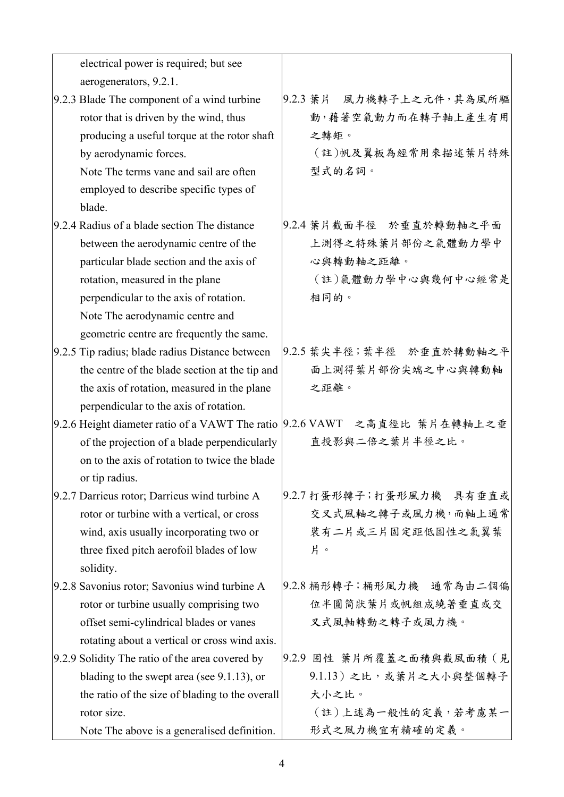| electrical power is required; but see                                      |                             |
|----------------------------------------------------------------------------|-----------------------------|
| aerogenerators, 9.2.1.                                                     |                             |
| 9.2.3 Blade The component of a wind turbine                                | 9.2.3 葉片<br>風力機轉子上之元件,其為風所驅 |
| rotor that is driven by the wind, thus                                     | 動,藉著空氣動力而在轉子軸上產生有用          |
| producing a useful torque at the rotor shaft                               | 之轉矩。                        |
| by aerodynamic forces.                                                     | (註)帆及翼板為經常用來描述葉片特殊          |
| Note The terms vane and sail are often                                     | 型式的名詞。                      |
| employed to describe specific types of                                     |                             |
| blade.                                                                     |                             |
| 9.2.4 Radius of a blade section The distance                               | 9.2.4 葉片截面半徑 於垂直於轉動軸之平面     |
| between the aerodynamic centre of the                                      | 上測得之特殊葉片部份之氣體動力學中           |
| particular blade section and the axis of                                   | 心與轉動軸之距離。                   |
| rotation, measured in the plane                                            | (註)氣體動力學中心與幾何中心經常是          |
| perpendicular to the axis of rotation.                                     | 相同的。                        |
| Note The aerodynamic centre and                                            |                             |
| geometric centre are frequently the same.                                  |                             |
| 9.2.5 Tip radius; blade radius Distance between                            | 9.2.5 葉尖半徑; 葉半徑 於垂直於轉動軸之平   |
| the centre of the blade section at the tip and                             | 面上測得葉片部份尖端之中心與轉動軸           |
| the axis of rotation, measured in the plane                                | 之距離。                        |
| perpendicular to the axis of rotation.                                     |                             |
| 9.2.6 Height diameter ratio of a VAWT The ratio  9.2.6 VAWT 之高直徑比 葉片在轉軸上之垂 |                             |
| of the projection of a blade perpendicularly                               | 直投影與二倍之葉片半徑之比。              |
| on to the axis of rotation to twice the blade                              |                             |
| or tip radius.                                                             |                             |
| 9.2.7 Darrieus rotor; Darrieus wind turbine A                              | 9.2.7 打蛋形轉子;打蛋形風力機 具有垂直或    |
| rotor or turbine with a vertical, or cross                                 | 交叉式風軸之轉子或風力機,而軸上通常          |
| wind, axis usually incorporating two or                                    | 裝有二片或三片固定距低固性之氣翼葉           |
| three fixed pitch aerofoil blades of low                                   | 片。                          |
| solidity.                                                                  |                             |
| 9.2.8 Savonius rotor; Savonius wind turbine A                              | 9.2.8 桶形轉子;桶形風力機 通常為由二個偏    |
| rotor or turbine usually comprising two                                    | 位半圓筒狀葉片或帆組成繞著垂直或交           |
| offset semi-cylindrical blades or vanes                                    | 叉式風軸轉動之轉子或風力機。              |
| rotating about a vertical or cross wind axis.                              |                             |
| 9.2.9 Solidity The ratio of the area covered by                            | 9.2.9 固性 葉片所覆蓋之面積與截風面積 (見   |
| blading to the swept area (see $9.1.13$ ), or                              | 9.1.13) 之比,或葉片之大小與整個轉子      |
| the ratio of the size of blading to the overall                            | 大小之比。                       |
| rotor size.                                                                | (註)上述為一般性的定義,若考慮某一          |
| Note The above is a generalised definition.                                | 形式之風力機宜有精確的定義。              |